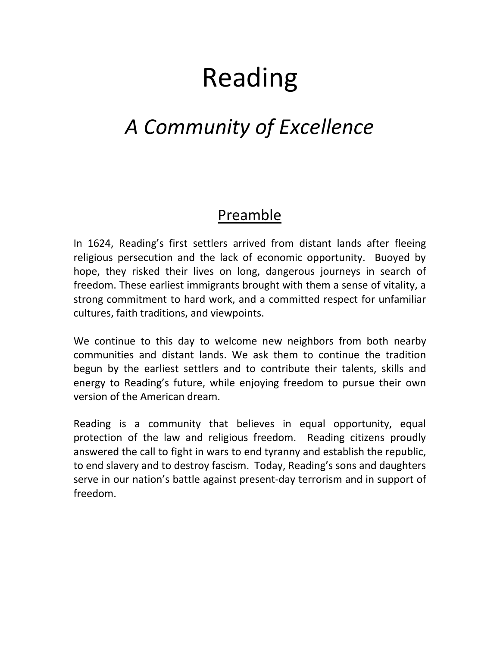# Reading

## *A Community of Excellence*

### Preamble

In 1624, Reading's first settlers arrived from distant lands after fleeing religious persecution and the lack of economic opportunity. Buoyed by hope, they risked their lives on long, dangerous journeys in search of freedom. These earliest immigrants brought with them a sense of vitality, a strong commitment to hard work, and a committed respect for unfamiliar cultures, faith traditions, and viewpoints.

We continue to this day to welcome new neighbors from both nearby communities and distant lands. We ask them to continue the tradition begun by the earliest settlers and to contribute their talents, skills and energy to Reading's future, while enjoying freedom to pursue their own version of the American dream.

Reading is a community that believes in equal opportunity, equal protection of the law and religious freedom. Reading citizens proudly answered the call to fight in wars to end tyranny and establish the republic, to end slavery and to destroy fascism. Today, Reading's sons and daughters serve in our nation's battle against present-day terrorism and in support of freedom.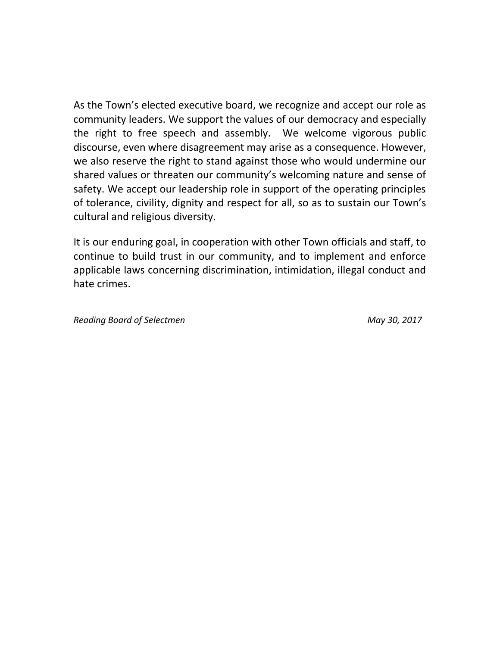As the Town's elected executive board, we recognize and accept our role as community leaders. We support the values of our democracy and especially the right to free speech and assembly. We welcome vigorous public discourse, even where disagreement may arise as a consequence. However, we also reserve the right to stand against those who would undermine our shared values or threaten our community's welcoming nature and sense of safety. We accept our leadership role in support of the operating principles of tolerance, civility, dignity and respect for all, so as to sustain our Town's cultural and religious diversity.

It is our enduring goal, in cooperation with other Town officials and staff, to continue to build trust in our community, and to implement and enforce applicable laws concerning discrimination, intimidation, illegal conduct and hate crimes.

*Reading Board of Selectmen* May 30, 2017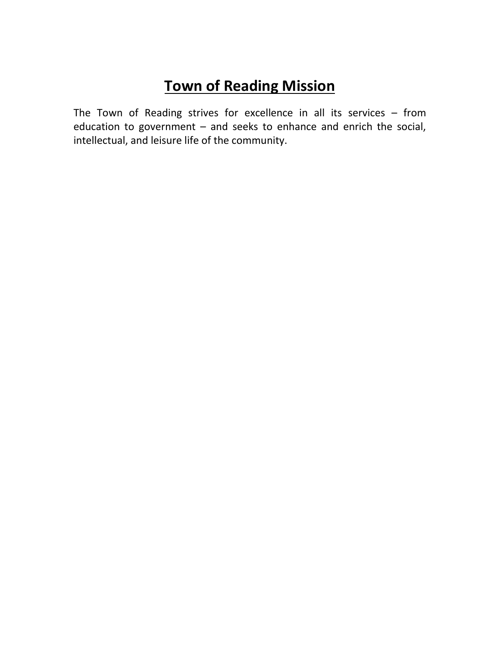## **Town of Reading Mission**

The Town of Reading strives for excellence in all its services – from education to government – and seeks to enhance and enrich the social, intellectual, and leisure life of the community.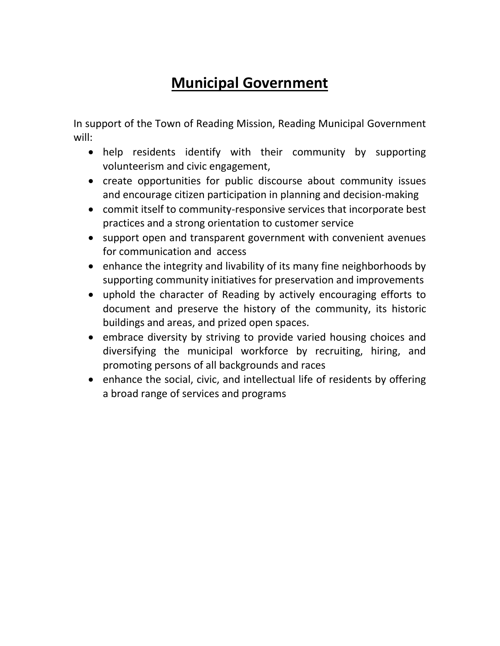## **Municipal Government**

In support of the Town of Reading Mission, Reading Municipal Government will:

- help residents identify with their community by supporting volunteerism and civic engagement,
- create opportunities for public discourse about community issues and encourage citizen participation in planning and decision-making
- commit itself to community-responsive services that incorporate best practices and a strong orientation to customer service
- support open and transparent government with convenient avenues for communication and access
- enhance the integrity and livability of its many fine neighborhoods by supporting community initiatives for preservation and improvements
- uphold the character of Reading by actively encouraging efforts to document and preserve the history of the community, its historic buildings and areas, and prized open spaces.
- embrace diversity by striving to provide varied housing choices and diversifying the municipal workforce by recruiting, hiring, and promoting persons of all backgrounds and races
- enhance the social, civic, and intellectual life of residents by offering a broad range of services and programs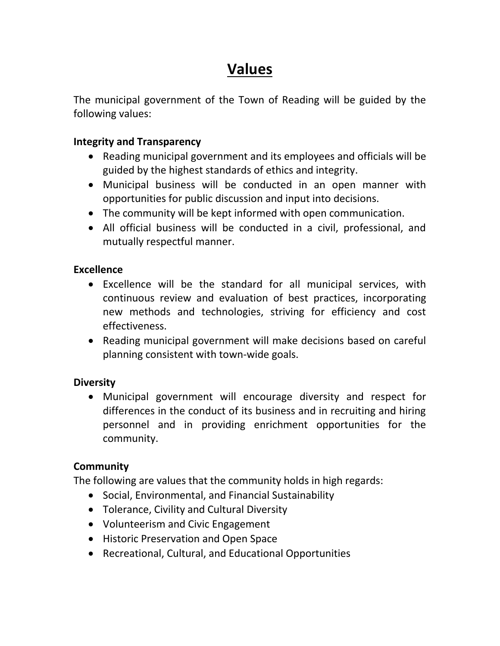## **Values**

The municipal government of the Town of Reading will be guided by the following values:

#### **Integrity and Transparency**

- Reading municipal government and its employees and officials will be guided by the highest standards of ethics and integrity.
- Municipal business will be conducted in an open manner with opportunities for public discussion and input into decisions.
- The community will be kept informed with open communication.
- All official business will be conducted in a civil, professional, and mutually respectful manner.

#### **Excellence**

- Excellence will be the standard for all municipal services, with continuous review and evaluation of best practices, incorporating new methods and technologies, striving for efficiency and cost effectiveness.
- Reading municipal government will make decisions based on careful planning consistent with town-wide goals.

#### **Diversity**

• Municipal government will encourage diversity and respect for differences in the conduct of its business and in recruiting and hiring personnel and in providing enrichment opportunities for the community.

#### **Community**

The following are values that the community holds in high regards:

- Social, Environmental, and Financial Sustainability
- Tolerance, Civility and Cultural Diversity
- Volunteerism and Civic Engagement
- Historic Preservation and Open Space
- Recreational, Cultural, and Educational Opportunities